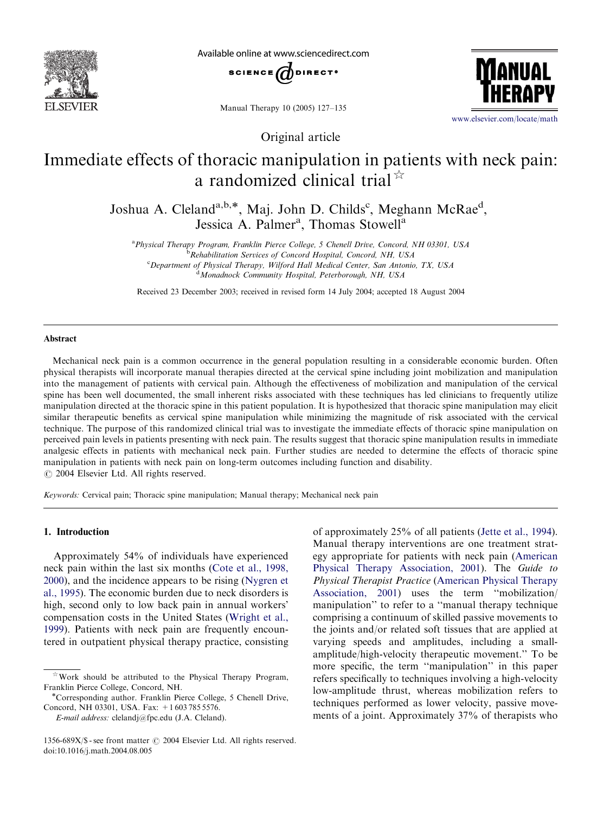

Available online at www.sciencedirect.com



Manual Therapy 10 (2005) 127–135



www.elsevier.com/locate/math

Original article

# Immediate effects of thoracic manipulation in patients with neck pain: a randomized clinical trial  $\overrightarrow{x}$

Joshua A. Cleland<sup>a,b,\*</sup>, Maj. John D. Childs<sup>c</sup>, Meghann McRae<sup>d</sup>, Jessica A. Palmer<sup>a</sup>, Thomas Stowell<sup>a</sup>

<sup>a</sup> Physical Therapy Program, Franklin Pierce College, 5 Chenell Drive, Concord, NH 03301, USA <sup>b</sup> Rehabilitation Services of Concord Hospital, Concord, NH, USA <sup>c</sup>Department of Physical Therapy, Wilford Hall Medical Center, San Antonio, TX, USA <sup>d</sup> Monadnock Community Hospital, Peterborough, NH, USA

Received 23 December 2003; received in revised form 14 July 2004; accepted 18 August 2004

#### Abstract

Mechanical neck pain is a common occurrence in the general population resulting in a considerable economic burden. Often physical therapists will incorporate manual therapies directed at the cervical spine including joint mobilization and manipulation into the management of patients with cervical pain. Although the effectiveness of mobilization and manipulation of the cervical spine has been well documented, the small inherent risks associated with these techniques has led clinicians to frequently utilize manipulation directed at the thoracic spine in this patient population. It is hypothesized that thoracic spine manipulation may elicit similar therapeutic benefits as cervical spine manipulation while minimizing the magnitude of risk associated with the cervical technique. The purpose of this randomized clinical trial was to investigate the immediate effects of thoracic spine manipulation on perceived pain levels in patients presenting with neck pain. The results suggest that thoracic spine manipulation results in immediate analgesic effects in patients with mechanical neck pain. Further studies are needed to determine the effects of thoracic spine manipulation in patients with neck pain on long-term outcomes including function and disability.  $\odot$  2004 Elsevier Ltd. All rights reserved.

Keywords: Cervical pain; Thoracic spine manipulation; Manual therapy; Mechanical neck pain

## [1. In](#page-7-0)troduction

Approximately 54% of individuals have experienced neck pain within the last six months (Cot[e et al., 1998,](#page-8-0) [2000](#page-8-0)), and the incidence appears to be rising (Nygren et al., 1995). The economic burden due to neck disorders is high, second only to low back pain in annual workers' compensation costs in the United States (Wright et al., 1999). Patients with neck pain are frequently encountered in outpatient physical therapy practice, consisting

E-mail address: clelandj@fpc.edu (J.A. Cleland).

of approximately 25% of all [patients \(Jette et al., 1994\).](#page-6-0) [Manual therapy in](#page-6-0)terventions are one treatment strategy appropriate for patients with neck pain (American Physical Therapy Association, 2001). The Guide to Physical Therapist Practice (American Physical Therapy Association, 2001) uses the term ''mobilization/ manipulation'' to refer to a ''manual therapy technique comprising a continuum of skilled passive movements to the joints and/or related soft tissues that are applied at varying speeds and amplitudes, including a smallamplitude/high-velocity therapeutic movement.'' To be more specific, the term ''manipulation'' in this paper refers specifically to techniques involving a high-velocity low-amplitude thrust, whereas mobilization refers to techniques performed as lower velocity, passive movements of a joint. Approximately 37% of therapists who

 $\star$  Work should be attributed to the Physical Therapy Program,<br>Franklin Pierce College, Concord, NH.

<sup>\*</sup>Corresponding author. Franklin Pierce College, 5 Chenell Drive, Concord, NH 03301, USA. Fax: +1 603 785 5576.

<sup>1356-689</sup>X/\$ - see front matter  $\odot$  2004 Elsevier Ltd. All rights reserved. doi:10.1016/j.math.2004.08.005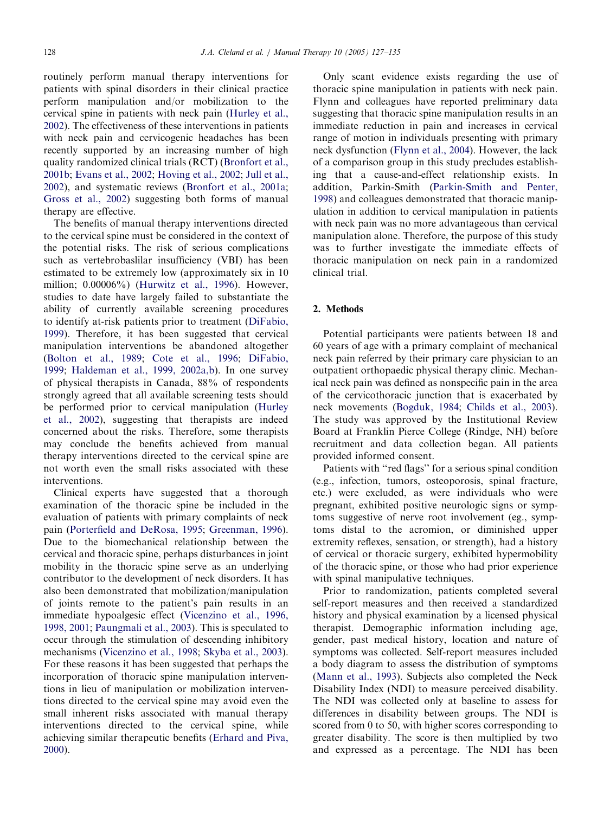[routi](#page-7-0)nely perform manual therapy interventions for patients with spinal disorders in their clinical practice perform manipulation and/or mobilization to the cervical spine in patients with neck pain [\(Hurley et al.,](#page-6-0) [2002\).](#page-6-0) [The effectiveness o](#page-7-0)f [these interventions](#page-7-0) [in patients](#page-7-0) [with](#page-7-0) neck pain and cervicogen[ic headaches has been](#page-6-0) [recently supported](#page-7-0) by an increasing number of high quality randomized clinical trials (RCT) (Bronfort et al., 2001b; Evans et al., 2002; Hoving et al., 2002; Jull et al., 2002), and systematic reviews (Bronfort et al., 2001a; Gross et al., 2002) suggesting both forms of manual therapy are effective.

The benefits of manual therapy interventions directed to the cervical spine [must be considered in th](#page-7-0)e context of the potential risks. The risk of serious complications such as vertebrobaslilar insufficiency (VBI) has been estimated to be extremely low (approximately [six in 10](#page-7-0)) [millio](#page-7-0)n; 0.00006%) (Hurwitz et al., 1996). However, studies to date have largely failed to substantiate the [ability of currently](#page-6-0) a[vailable screening](#page-7-0) p[rocedures](#page-7-0) [to id](#page-7-0)e[ntify at-risk patients prior to trea](#page-7-0)tment (DiFabio, 1999). Therefore, it has been suggested that cervical manipulation interventions be abandoned altogether (Bolton et al., 1989; Cote et al., 1996; D[iFabio,](#page-7-0) 1999; [Haldem](#page-7-0)an et al., 1999, 2002a,b). In one survey of physical therapists in Canada, 88% of respondents strongly agreed that all available screening tests should be performed prior to cervical manipulation (Hurley et al., 2002), suggesting that therapists are indeed concerned about the risks. Therefore, some therapists may conclude the benefits achieved from manual therapy interventions directed to the cervical spine are not worth even the small risks associated with these interv[entions.](#page-7-0)

Clinical experts have suggested that a thorough examination of the thoracic spine be included in the evaluation of patients with primary complaints of neck pain (Porterfield and DeRosa, 1995; Greenman, 1996). Due to the biomechanical relationship between the cervical and thoracic spine, perhaps disturbances in joint mobility in the thoracic spine [serve as an underlying](#page-8-0) [contributor](#page-8-0) [to the development of](#page-7-0) neck disorders. It has also been demonstrated that mobilization/manipulation of joints re[mote to the patient's](#page-8-0) [pain results in a](#page-7-0)n immediate hypoalgesic effect (Vicenzino et al., 1996, 1998, 2001; Paungmali et al., 2003). This is speculated to occur through the stimulation of descending inhibitory mechanisms (Vicenzino et al., 1998; Skyba et al., 2003). For these reasons it has been suggested that perhaps the incorporation of thoracic spine manipulation interventions in lieu of manipulation or mobi[lization interven](#page-7-0)[tions](#page-7-0) directed to the cervical spine may avoid even the small inherent risks associated with manual therapy interventions directed to the cervical spine, while achieving similar therapeutic benefits (Erhard and Piva, 2000).

Only scant evidence exists regarding the use of thoracic spine manipulation in patients with neck pain. Flynn and collea[gues have reporte](#page-7-0)d preliminary data suggesting that thoracic spine manipulation results in an immediate reduction in pain and increases in cervical range of motion in individ[uals presenting with primary](#page-7-0) [neck](#page-7-0) dysfunction (Flynn et al., 2004). However, the lack of a comparison group in this study precludes establishing that a cause-and-effect relationship exists. In addition, Parkin-Smith (Parkin-Smith and Penter, 1998) and colleagues demonstrated that thoracic manipulation in addition to cervical manipulation in patients with neck pain was no more advantageous than cervical manipulation alone. Therefore, the purpose of this study was to further investigate the immediate effects of thoracic manipulation on neck pain in a randomized clinical trial.

## 2. Methods

Potential participants were patients between 18 and 60 years of age with a primary complaint of mechanical neck pain referred [by their primary care physician to a](#page-6-0)n outpatient orthopaedic physical therapy clinic. Mechanical neck pain was defined as nonspecific pain in the area of the cervicothoracic junction that is exacerbated by neck movements (Bogduk, 1984; Childs et al., 2003). The study was approved by the Institutional Review Board at Franklin Pierce College (Rindge, NH) before recruitment and data collection began. All patients provided informed consent.

Patients with ''red flags'' for a serious spinal condition (e.g., infection, tumors, osteoporosis, spinal fracture, etc.) were excluded, as were individuals who were pregnant, exhibited positive neurologic signs or symptoms suggestive of nerve root involvement (eg., symptoms distal to the acromion, or diminished upper extremity reflexes, sensation, or strength), had a history of cervical or thoracic surgery, exhibited hypermobility of the thoracic spine, or those who had prior experience with spinal manipulative techniques.

Prior to randomization, patients completed several self-report measures and then received a standardized history and physical examination by a licensed physical t[herapist. Demogr](#page-7-0)aphic information including age, gender, past medical history, location and nature of symptoms was collected. Self-report measures included a body diagram to assess the distribution of symptoms (Mann et al., 1993). Subjects also completed the Neck Disability Index (NDI) to measure perceived disability. The NDI was collected only at baseline to assess for differences in disability between groups. The NDI is scored from 0 to 50, with higher scores corresponding to greater disability. The score is then multiplied by two and expressed as a percentage. The NDI has been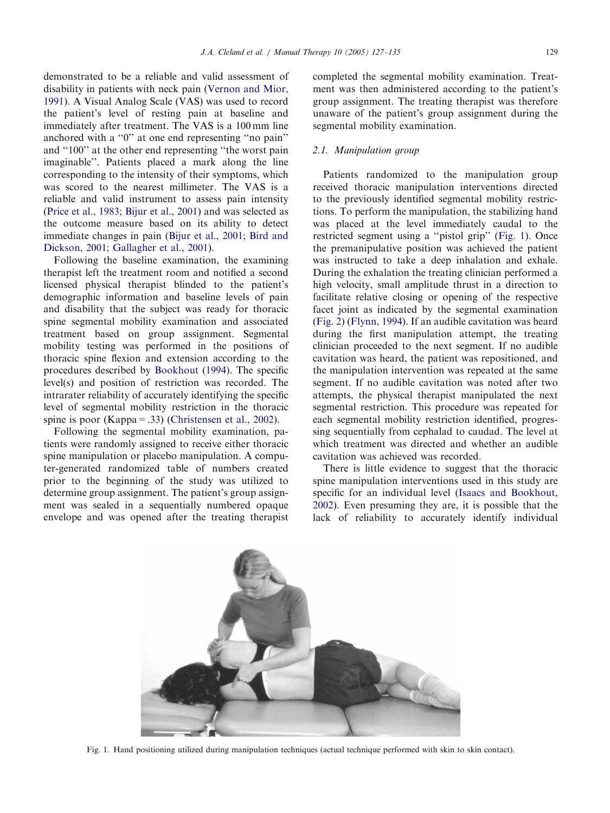demonstrated to be a reliable and valid assessment of disability in patients with neck pain (Vernon and Mior, 1991). A Visual Analog Scale (VAS) was used to record the patient's level of resting pain at baseline and immediately after treatment. The VAS is a 100 mm line anchored with a ''0'' at one end representing ''no pain'' and ''100'' at the other end representing ''the worst pain i[maginable''. Pat](#page-7-0)i[ents placed a m](#page-6-0)ark along the line corresponding to the intensity of their symptoms, which was scored to the nearest [millimeter. The](#page-6-0) [VAS is a](#page-6-0) [reliable and v](#page-6-0)[alid instrument to ass](#page-7-0)ess pain intensity (Price et al., 1983; Bijur et al., 2001) and was selected as the outcome measure based on its ability to detect immediate changes in pain (Bijur et al., 2001; Bird and Dickson, 2001; Gallagher et al., 2001).

Following the baseline examination, the examining therapist left the treatment room and notified a second licensed physical therapist blinded to the patient's demographic information and baseline levels of pain and disability that the subject was ready for thoracic spine segmental mobilit[y examination an](#page-6-0)d associated treatment based on group assignment. Segmental mobility testing was performed in the positions of thoracic spine flexion and extension according to the procedures described by Bo[okhout \(1994\). The spec](#page-6-0)ific level(s) and position of restriction was recorded. The intrarater reliability of accurately identifying the specific level of segmental mobility restriction in the thoracic spine is poor (Kappa=.33) (Christensen et al., 2002).

Following the segmental mobility examination, patients were randomly assigned to receive either thoracic spine manipulation or placebo manipulation. A computer-generated randomized table of numbers created prior to the beginning of the study was utilized to determine group assignment. The patient's group assignment was sealed in a sequentially numbered opaque envelope and was opened after the treating therapist completed the segmental mobility examination. Treatment was then administered according to the patient's group assignment. The treating therapist was therefore unaware of the patient's group assignment during the segmental mobility examination.

#### 2.1. Manipulation group

Patients randomized to the manipulation group received thoracic manipulation interventions directed to the previously identified segmental mobility restrictions. To perform the manipulation, the stabilizing hand was placed at the level immediately caudal to the restricted segment using a ''pistol grip'' (Fig. 1). Once the premanipulative position was achieved the patient was instructed to take a deep inhalation and exhale. [During](#page-3-0) [the exhalatio](#page-7-0)n the treating clinician performed a high velocity, small amplitude thrust in a direction to facilitate relative closing or opening of the respective facet joint as indicated by the segmental examination (Fig. 2) (Flynn, 1994). If an audible cavitation was heard during the first manipulation attempt, the treating clinician proceeded to the next segment. If no audible cavitation was heard, the patient was repositioned, and the manipulation intervention was repeated at the same segment. If no audible cavitation was noted after two attempts, the physical therapist manipulated the next segmental restriction. This procedure was repeated for each segmental mobility restriction identified, progressing sequentially from cephalad to caudad. The level at which treatment was directed a[nd whether an audible](#page-7-0) [cavit](#page-7-0)ation was achieved was recorded.

There is little evidence to suggest that the thoracic spine manipulation interventions used in this study are specific for an individual level (Isaacs and Bookhout, 2002). Even presuming they are, it is possible that the lack of reliability to accurately identify individual



Fig. 1. Hand positioning utilized during manipulation techniques (actual technique performed with skin to skin contact).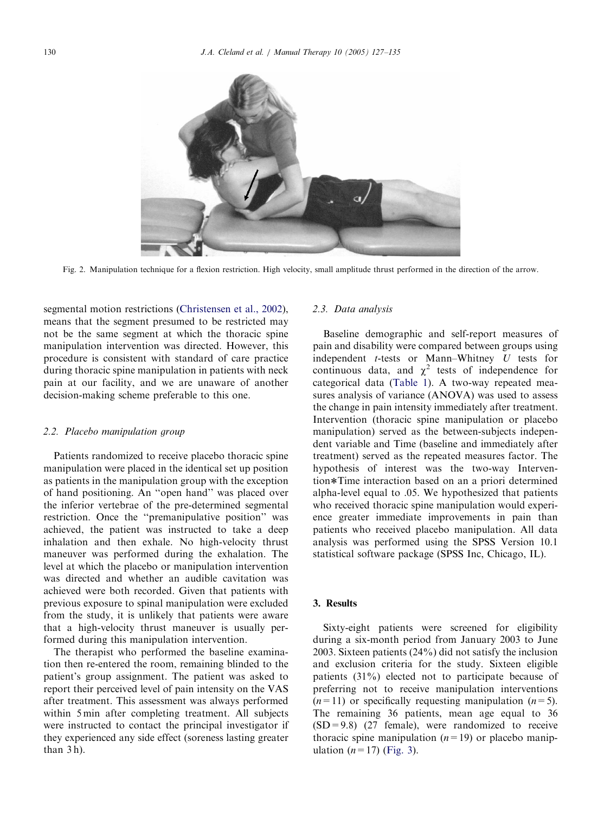<span id="page-3-0"></span>

Fig. 2. Manipulation technique for a flexion restriction. High velocity, small amplitude thrust performed in the direction of the arrow.

segmental motion restrictions (Christensen et al., 2002), means that the segment presumed to be restricted may not be the same segment at which the thoracic spine manipulation intervention was directed. However, this procedure is consistent with standard of care practice during thoracic spine manipulation in patients with neck pain at our facility, and we are unaware of another decision-making scheme preferable to this one.

#### 2.2. Placebo manipulation group

Patients randomized to receive placebo thoracic spine manipulation were placed in the identical set up position as patients in the manipulation group with the exception of hand positioning. An ''open hand'' was placed over the inferior vertebrae of the pre-determined segmental restriction. Once the ''premanipulative position'' was achieved, the patient was instructed to take a deep inhalation and then exhale. No high-velocity thrust maneuver was performed during the exhalation. The level at which the placebo or manipulation intervention was directed and whether an audible cavitation was achieved were both recorded. Given that patients with previous exposure to spinal manipulation were excluded from the study, it is unlikely that patients were aware that a high-velocity thrust maneuver is usually performed during this manipulation intervention.

The therapist who performed the baseline examination then re-entered the room, remaining blinded to the patient's group assignment. The patient was asked to report their perceived level of pain intensity on the VAS after treatment. This assessment was always performed within 5 min after completing treatment. All subjects were instructed to contact the principal investigator if they experienced any side effect (soreness lasting greater than 3 h).

#### 2.3. Data analysis

Baseline demo[graphic](#page-4-0) and self-report measures of pain and disability were compared between groups using independent  $t$ -tests or Mann–Whitney  $U$  tests for continuous data, and  $\chi^2$  tests of independence for categorical data (Table 1). A two-way repeated measures analysis of variance (ANOVA) was used to assess the change in pain intensity immediately after treatment. Intervention (thoracic spine manipulation or placebo manipulation) served as the between-subjects independent variable and Time (baseline and immediately after treatment) served as the repeated measures factor. The hypothesis of interest was the two-way Intervention\*Time interaction based on an a priori determined alpha-level equal to .05. We hypothesized that patients who received thoracic spine manipulation would experience greater immediate improvements in pain than patients who received placebo manipulation. All data analysis was performed using the SPSS Version 10.1 statistical software package (SPSS Inc, Chicago, IL).

#### 3. Results

Sixty-eight patients were screened for eligibility during a six-month period from January 2003 to June 2003. Sixteen patients (24%) did not satisfy the inclusion and exclusion criteria for the study. Sixteen eligible patients (31%) elected not to participate because of preferring not to receive manipulation interventions  $(n=11)$  or speci[fically](#page-4-0) requesting manipulation  $(n=5)$ . The remaining 36 patients, mean age equal to 36  $(SD=9.8)$  (27 female), were randomized to receive thoracic spine manipulation  $(n=19)$  or placebo manipulation  $(n=17)$  (Fig. 3).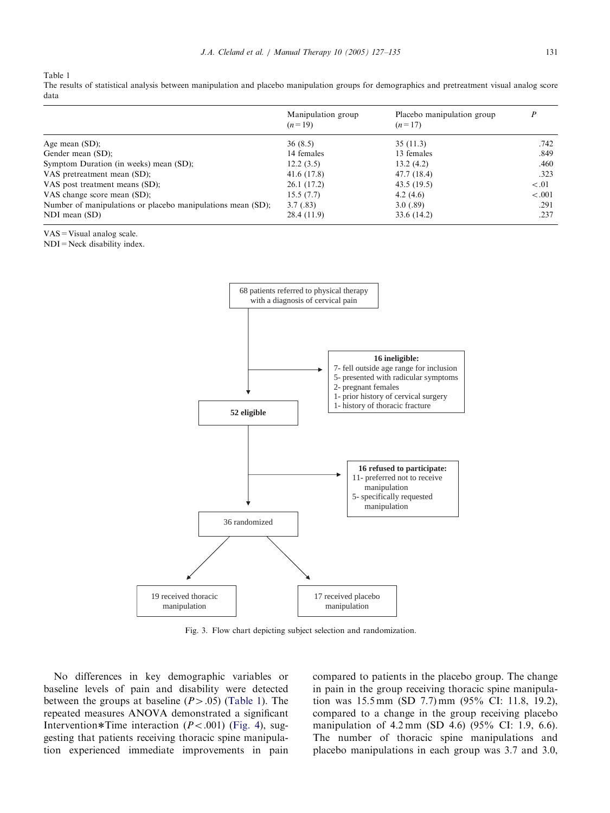<span id="page-4-0"></span>Table 1

The results of statistical analysis between manipulation and placebo manipulation groups for demographics and pretreatment visual analog score data

|                                                             | Manipulation group<br>$(n=19)$ | Placebo manipulation group<br>$(n=17)$ | D      |
|-------------------------------------------------------------|--------------------------------|----------------------------------------|--------|
| Age mean $(SD)$ ;                                           | 36(8.5)                        | 35(11.3)                               | .742   |
| Gender mean (SD);                                           | 14 females                     | 13 females                             | .849   |
| Symptom Duration (in weeks) mean (SD);                      | 12.2(3.5)                      | 13.2(4.2)                              | .460   |
| VAS pretreatment mean (SD);                                 | 41.6 (17.8)                    | 47.7 (18.4)                            | .323   |
| VAS post treatment means (SD);                              | 26.1 (17.2)                    | 43.5(19.5)                             | < 0.01 |
| VAS change score mean (SD);                                 | 15.5(7.7)                      | 4.2(4.6)                               | < .001 |
| Number of manipulations or placebo manipulations mean (SD); | 3.7(0.83)                      | 3.0(0.89)                              | .291   |
| NDI mean (SD)                                               | 28.4 (11.9)                    | 33.6 (14.2)                            | .237   |

VAS=Visual analog scale.

NDI=Neck disability index.



Fig. 3. Flow chart depicting subject selection and randomization.

No differences in key demographic [variab](#page-5-0)les or baseline levels of pain and disability were detected between the groups at baseline  $(P > .05)$  (Table 1). The repeated measures ANOVA demonstrated a significant Intervention\*Time interaction ( $P < .001$ ) (Fig. 4), suggesting that patients receiving thoracic spine manipulation experienced immediate improvements in pain compared to patients in the placebo group. The change in pain in the group receiving thoracic spine manipulation was 15.5 mm (SD 7.7) mm (95% CI: 11.8, 19.2), compared to a change in the group receiving placebo manipulation of 4.2 mm (SD 4.6) (95% CI: 1.9, 6.6). The number of thoracic spine manipulations and placebo manipulations in each group was 3.7 and 3.0,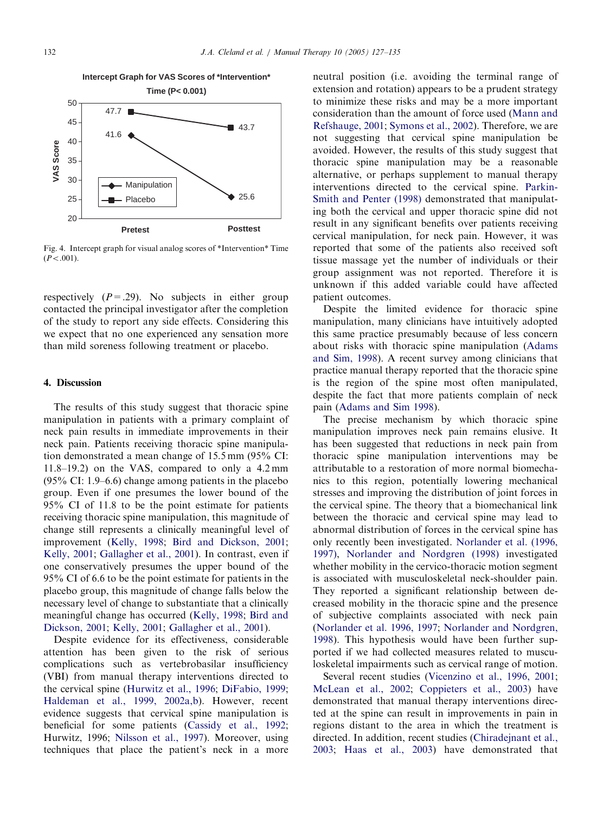<span id="page-5-0"></span>

Fig. 4. Intercept graph for visual analog scores of \*Intervention\* Time  $(P<.001)$ .

respectively  $(P=.29)$ . No subjects in either group contacted the principal investigator after the completion of the study to report any side effects. Considering this we expect that no one experienced any sensation more than mild soreness following treatment or placebo.

# 4. Discussion

The results of this study suggest that thoracic spine manipulation in patients with a primary complaint of neck pain results in immediate improvements in their neck pain. Patients receiving thoracic spine manipulation demonstrated a mean change of 15.5 mm (95% CI: 11.8–19.2) on the VAS, compared to only a 4.2 mm (95% CI: 1.9–6.6) change among patients in the placebo group. Even if [one presum](#page-7-0)e[s the lower bound of the](#page-6-0) [95% CI of 11.8 to be the point](#page-7-0) estimate for patients receiving thoracic spine manipulation, this magnitude of change still represents a clinically meaningful level of improvement (Kelly, 1998; Bird and Dickson, 2001; Kelly, 2001; Gallagher et al., 2001). In contrast, even if one conservatively presumes the [upper bou](#page-7-0)n[d of the](#page-6-0) [95% CI of 6.6](#page-6-0) t[o be the point estimate for patients i](#page-7-0)n the placebo group, this magnitude of change falls belowthe necessary level of change to substantiate that a clinically meaningful change has occurred (Kelly, 1998; Bird and Dickson, 2001; Kelly, 2001; Gallagher et al., 2001).

Despite evidenc[e for its effectivene](#page-7-0)s[s, considerable](#page-7-0) [attention has been given to th](#page-7-0)e risk of serious complications such as vertebrobasilar insufficiency (VBI) from manual therapy in[terventions directed to](#page-6-0) the cervical spi[ne \(Hurwitz et al., 19](#page-7-0)96; DiFabio, 1999; Haldeman et al., 1999, 2002a,b). However, recent evidence suggests that cervical spine manipulation is beneficial for some patients (Cassidy et al., 1992; Hurwitz, 1996; Nilsson et al., 1997). Moreover, using techniques that place the patient's neck in a more

[neutral position](#page-7-0) [\(i.e. avoiding the](#page-8-0) terminal range of extension and rotation) appears to be a prudent strategy to minimize these risks and may be a more important consideration than the amount of force used (Mann and Refshauge, 2001; Symons et al., 2002). Therefore, we are not suggesting that cervical spine manipula[tion be](#page-7-0) [avoided. However, the re](#page-7-0)sults of this study suggest that thoracic spine manipulation may be a reasonable alternative, or perhaps supplement to manual therapy interventions directed to the cervical spine. Parkin-Smith and Penter (1998) demonstrated that manipulating both the cervical and upper thoracic spine did not result in any significant benefits over patients receiving cervical manipulation, for neck pain. However, it was reported that some of the patients also received soft tissue massage yet the number of individuals or their group assignment was not reported. Therefore it is unknown if this added variable could have affected patient outcomes.

[Despite the](#page-6-0) limited evidence for thoracic spine manipulation, many clinicians have intuitively adopted this same practice presumably because of less concern about risks with thoracic spine manipulation (Adams and S[im, 1998\). A recent s](#page-6-0)urvey among clinicians that practice manual therapy reported that the thoracic spine is the region of the spine most often manipulated, despite the fact that more patients complain of neck pain (Adams and Sim 1998).

The precise mechanism by which thoracic spine manipulation improves neck pain remains elusive. It has been suggested that reductions in neck pain from thoracic spine manipulation interventions may be attributable to a restoration of more normal biomechanics to this region, potentially lowering mechanical stresses and improving the distri[bution of joint forces in](#page-7-0) [the ce](#page-7-0)r[vical spine. The theory that a biome](#page-7-0)chanical link between the thoracic and cervical spine may lead to abnormal distribution of forces in the cervical spine has only recently been investigated. Norlander et al. (1996, 1997), Norlander and Nordgren (1998) investigated whether mobility in the cervico-thoracic motion segment i[s associated with musculoskeletal neck-shoulder pain.](#page-7-0) [They](#page-7-0) reported a significant relationship between decreased mobility in the thoracic spine and the presence of subjective complaints associated with neck pain (Norlander et al. 1996, 1997; [Norlander and Nordgren,](#page-8-0) [1998\). This hypothesi](#page-7-0)s [would have been furthe](#page-7-0)r supported if we had collected measures related to musculoskeletal impairments such as cervical range of motion.

Several recent studies (Vicenzino et al., 1996, 2001; McLean et al., 2002; Coppieters [et al., 2003\) have](#page-6-0) [demo](#page-6-0)n[strated that manual](#page-7-0) therapy interventions directed at the spine can result in improvements in pain in regions distant to the area in which the treatment is directed. In addition, recent studies (Chiradejnant et al., 2003; Haas et al., 2003) have demonstrated that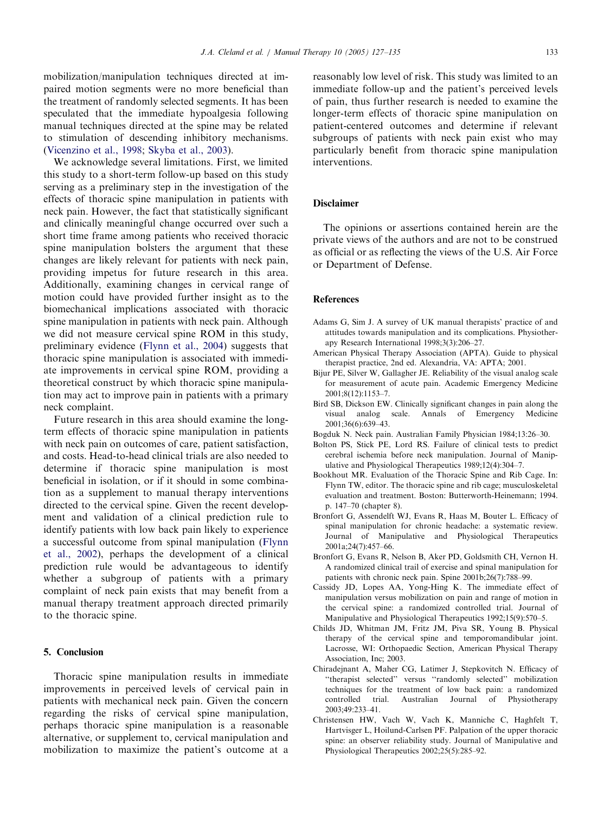<span id="page-6-0"></span>mobilization/manipulation techniques directed at impaired motion segments were no more beneficial than t[he treatment of rando](#page-8-0)[mly selected segmen](#page-7-0)ts. It has been speculated that the immediate hypoalgesia following manual techniques directed at the spine may be related to stimulation of descending inhibitory mechanisms. (Vicenzino et al., 1998; Skyba et al., 2003).

We acknowledge several limitations. First, we limited this study to a short-term follow-up based on this study serving as a preliminary step in the investigation of the effects of thoracic spine manipulation in patients with neck pain. However, the fact that statistically significant and clinically meaningful change occurred over such a short time frame among patients who received thoracic spine manipulation bolsters the argument that these changes are likely relevant for patients with neck pain, providing impetus for future research in this area. Additionally, examining changes in cervical range of motion could have p[rovided further ins](#page-7-0)ight as to the biomechanical implications associated with thoracic spine manipulation in patients with neck pain. Although we did not measure cervical spine ROM in this study, preliminary evidence (Flynn et al., 2004) suggests that thoracic spine manipulation is associated with immediate improvements in cervical spine ROM, providing a theoretical construct by which thoracic spine manipulation may act to improve pain in patients with a primary neck complaint.

Future research in this area should examine the longterm effects of thoracic spine manipulation in patients with neck pain on outcomes of care, patient satisfaction, and costs. Head-to-head clinical trials are also needed to determine if thoracic spine manipulation is most beneficial in isolation, or if it should in some combination as a supplement to manual therapy interve[ntions](#page-7-0) [directed to th](#page-7-0)e cervical spine. Given the recent development and validation of a clinical prediction rule to identify patients with low back pain likely to experience a successful outcome from spinal manipulation (Flynn et al., 2002), perhaps the development of a clinical prediction rule would be advantageous to identify whether a subgroup of patients with a primary complaint of neck pain exists that may benefit from a manual therapy treatment approach directed primarily to the thoracic spine.

#### 5. Conclusion

Thoracic spine manipulation results in immediate improvements in perceived levels of cervical pain in patients with mechanical neck pain. Given the concern regarding the risks of cervical spine manipulation, perhaps thoracic spine manipulation is a reasonable alternative, or supplement to, cervical manipulation and mobilization to maximize the patient's outcome at a

reasonably low level of risk. This study was limited to an immediate follow-up and the patient's perceived levels of pain, thus further research is needed to examine the longer-term effects of thoracic spine manipulation on patient-centered outcomes and determine if relevant subgroups of patients with neck pain exist who may particularly benefit from thoracic spine manipulation interventions.

#### Disclaimer

The opinions or assertions contained herein are the private views of the authors and are not to be construed as official or as reflecting the views of the U.S. Air Force or Department of Defense.

#### **References**

- Adams G, Sim J. A survey of UK manual therapists' practice of and attitudes towards manipulation and its complications. Physiotherapy Research International 1998;3(3):206–27.
- American Physical Therapy Association (APTA). Guide to physical therapist practice, 2nd ed. Alexandria, VA: APTA; 2001.
- Bijur PE, Silver W, Gallagher JE. Reliability of the visual analog scale for measurement of acute pain. Academic Emergency Medicine 2001;8(12):1153–7.
- Bird SB, Dickson EW. Clinically significant changes in pain along the visual analog scale. Annals of Emergency Medicine 2001;36(6):639–43.
- Bogduk N. Neck pain. Australian Family Physician 1984;13:26–30.
- Bolton PS, Stick PE, Lord RS. Failure of clinical tests to predict cerebral ischemia before neck manipulation. Journal of Manipulative and Physiological Therapeutics 1989;12(4):304–7.
- Bookhout MR. Evaluation of the Thoracic Spine and Rib Cage. In: Flynn TW, editor. The thoracic spine and rib cage; musculoskeletal evaluation and treatment. Boston: Butterworth-Heinemann; 1994. p. 147–70 (chapter 8).
- Bronfort G, Assendelft WJ, Evans R, Haas M, Bouter L. Efficacy of spinal manipulation for chronic headache: a systematic review. Journal of Manipulative and Physiological Therapeutics 2001a;24(7):457–66.
- Bronfort G, Evans R, Nelson B, Aker PD, Goldsmith CH, Vernon H. A randomized clinical trail of exercise and spinal manipulation for patients with chronic neck pain. Spine 2001b;26(7):788–99.
- Cassidy JD, Lopes AA, Yong-Hing K. The immediate effect of manipulation versus mobilization on pain and range of motion in the cervical spine: a randomized controlled trial. Journal of Manipulative and Physiological Therapeutics 1992;15(9):570–5.
- Childs JD, Whitman JM, Fritz JM, Piva SR, Young B. Physical therapy of the cervical spine and temporomandibular joint. Lacrosse, WI: Orthopaedic Section, American Physical Therapy Association, Inc; 2003.
- Chiradejnant A, Maher CG, Latimer J, Stepkovitch N. Efficacy of ''therapist selected'' versus ''randomly selected'' mobilization techniques for the treatment of lowback pain: a randomized controlled trial. Australian Journal of Physiotherapy 2003;49:233–41.
- Christensen HW, Vach W, Vach K, Manniche C, Haghfelt T, Hartvisger L, Hoilund-Carlsen PF. Palpation of the upper thoracic spine: an observer reliability study. Journal of Manipulative and Physiological Therapeutics 2002;25(5):285–92.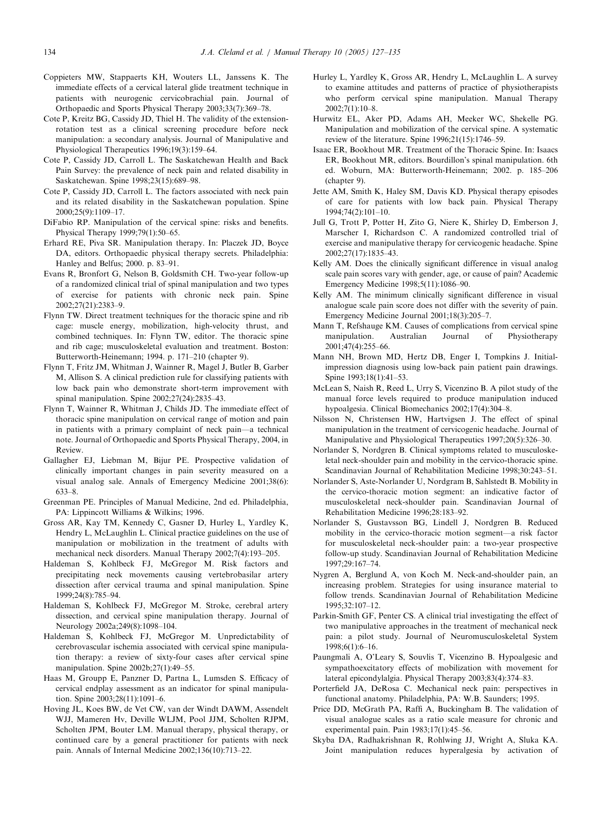- <span id="page-7-0"></span>Coppieters MW, Stappaerts KH, Wouters LL, Janssens K. The immediate effects of a cervical lateral glide treatment technique in patients with neurogenic cervicobrachial pain. Journal of Orthopaedic and Sports Physical Therapy 2003;33(7):369–78.
- Cote P, Kreitz BG, Cassidy JD, Thiel H. The validity of the extensionrotation test as a clinical screening procedure before neck manipulation: a secondary analysis. Journal of Manipulative and Physiological Therapeutics 1996;19(3):159–64.
- Cote P, Cassidy JD, Carroll L. The Saskatchewan Health and Back Pain Survey: the prevalence of neck pain and related disability in Saskatchewan. Spine 1998;23(15):689–98.
- Cote P, Cassidy JD, Carroll L. The factors associated with neck pain and its related disability in the Saskatchewan population. Spine 2000;25(9):1109–17.
- DiFabio RP. Manipulation of the cervical spine: risks and benefits. Physical Therapy 1999;79(1):50–65.
- Erhard RE, Piva SR. Manipulation therapy. In: Placzek JD, Boyce DA, editors. Orthopaedic physical therapy secrets. Philadelphia: Hanley and Belfus; 2000. p. 83–91.
- Evans R, Bronfort G, Nelson B, Goldsmith CH. Two-year follow-up of a randomized clinical trial of spinal manipulation and two types of exercise for patients with chronic neck pain. Spine 2002;27(21):2383–9.
- Flynn TW. Direct treatment techniques for the thoracic spine and rib cage: muscle energy, mobilization, high-velocity thrust, and combined techniques. In: Flynn TW, editor. The thoracic spine and rib cage; musculoskeletal evaluation and treatment. Boston: Butterworth-Heinemann; 1994. p. 171–210 (chapter 9).
- Flynn T, Fritz JM, Whitman J, Wainner R, Magel J, Butler B, Garber M, Allison S. A clinical prediction rule for classifying patients with low back pain who demonstrate short-term improvement with spinal manipulation. Spine 2002;27(24):2835–43.
- Flynn T, Wainner R, Whitman J, Childs JD. The immediate effect of thoracic spine manipulation on cervical range of motion and pain in patients with a primary complaint of neck pain—a technical note. Journal of Orthopaedic and Sports Physical Therapy, 2004, in Review.
- Gallagher EJ, Liebman M, Bijur PE. Prospective validation of clinically important changes in pain severity measured on a visual analog sale. Annals of Emergency Medicine 2001;38(6): 633–8.
- Greenman PE. Principles of Manual Medicine, 2nd ed. Philadelphia, PA: Lippincott Williams & Wilkins; 1996.
- Gross AR, Kay TM, Kennedy C, Gasner D, Hurley L, Yardley K, Hendry L, McLaughlin L. Clinical practice guidelines on the use of manipulation or mobilization in the treatment of adults with mechanical neck disorders. Manual Therapy 2002;7(4):193–205.
- Haldeman S, Kohlbeck FJ, McGregor M. Risk factors and precipitating neck movements causing vertebrobasilar artery dissection after cervical trauma and spinal manipulation. Spine 1999;24(8):785–94.
- Haldeman S, Kohlbeck FJ, McGregor M. Stroke, cerebral artery dissection, and cervical spine manipulation therapy. Journal of Neurology 2002a;249(8):1098–104.
- Haldeman S, Kohlbeck FJ, McGregor M. Unpredictability of cerebrovascular ischemia associated with cervical spine manipulation therapy: a review of sixty-four cases after cervical spine manipulation. Spine 2002b;27(1):49–55.
- Haas M, Groupp E, Panzner D, Partna L, Lumsden S. Efficacy of cervical endplay assessment as an indicator for spinal manipulation. Spine 2003;28(11):1091–6.
- Hoving JL, Koes BW, de Vet CW, van der Windt DAWM, Assendelt WJJ, Mameren Hv, Deville WLJM, Pool JJM, Scholten RJPM, Scholten JPM, Bouter LM. Manual therapy, physical therapy, or continued care by a general practitioner for patients with neck pain. Annals of Internal Medicine 2002;136(10):713–22.
- Hurley L, Yardley K, Gross AR, Hendry L, McLaughlin L. A survey to examine attitudes and patterns of practice of physiotherapists who perform cervical spine manipulation. Manual Therapy 2002;7(1):10–8.
- Hurwitz EL, Aker PD, Adams AH, Meeker WC, Shekelle PG. Manipulation and mobilization of the cervical spine. A systematic review of the literature. Spine 1996;21(15):1746–59.
- Isaac ER, Bookhout MR. Treatment of the Thoracic Spine. In: Isaacs ER, Bookhout MR, editors. Bourdillon's spinal manipulation. 6th ed. Woburn, MA: Butterworth-Heinemann; 2002. p. 185–206 (chapter 9).
- Jette AM, Smith K, Haley SM, Davis KD. Physical therapy episodes of care for patients with low back pain. Physical Therapy 1994;74(2):101–10.
- Jull G, Trott P, Potter H, Zito G, Niere K, Shirley D, Emberson J, Marscher I, Richardson C. A randomized controlled trial of exercise and manipulative therapy for cervicogenic headache. Spine 2002;27(17):1835–43.
- Kelly AM. Does the clinically significant difference in visual analog scale pain scores vary with gender, age, or cause of pain? Academic Emergency Medicine 1998;5(11):1086–90.
- Kelly AM. The minimum clinically significant difference in visual analogue scale pain score does not differ with the severity of pain. Emergency Medicine Journal 2001;18(3):205–7.
- Mann T, Refshauge KM. Causes of complications from cervical spine manipulation. Australian Journal of Physiotherapy 2001;47(4):255–66.
- Mann NH, Brown MD, Hertz DB, Enger I, Tompkins J. Initialimpression diagnosis using low-back pain patient pain drawings. Spine 1993;18(1):41–53.
- McLean S, Naish R, Reed L, Urry S, Vicenzino B. A pilot study of the manual force levels required to produce manipulation induced hypoalgesia. Clinical Biomechanics 2002;17(4):304–8.
- Nilsson N, Christensen HW, Hartvigsen J. The effect of spinal manipulation in the treatment of cervicogenic headache. Journal of Manipulative and Physiological Therapeutics 1997;20(5):326–30.
- Norlander S, Nordgren B. Clinical symptoms related to musculoskeletal neck-shoulder pain and mobility in the cervico-thoracic spine. Scandinavian Journal of Rehabilitation Medicine 1998;30:243–51.
- Norlander S, Aste-Norlander U, Nordgram B, Sahlstedt B. Mobility in the cervico-thoracic motion segment: an indicative factor of musculoskeletal neck-shoulder pain. Scandinavian Journal of Rehabilitation Medicine 1996;28:183–92.
- Norlander S, Gustavsson BG, Lindell J, Nordgren B. Reduced mobility in the cervico-thoracic motion segment—a risk factor for musculoskeletal neck-shoulder pain: a two-year prospective follow-up study. Scandinavian Journal of Rehabilitation Medicine 1997;29:167–74.
- Nygren A, Berglund A, von Koch M. Neck-and-shoulder pain, an increasing problem. Strategies for using insurance material to follow trends. Scandinavian Journal of Rehabilitation Medicine 1995;32:107–12.
- Parkin-Smith GF, Penter CS. A clinical trial investigating the effect of two manipulative approaches in the treatment of mechanical neck pain: a pilot study. Journal of Neuromusculoskeletal System 1998;6(1):6–16.
- Paungmali A, O'Leary S, Souvlis T, Vicenzino B. Hypoalgesic and sympathoexcitatory effects of mobilization with movement for lateral epicondylalgia. Physical Therapy 2003;83(4):374–83.
- Porterfield JA, DeRosa C. Mechanical neck pain: perspectives in functional anatomy. Philadelphia, PA: W.B. Saunders; 1995.
- Price DD, McGrath PA, Raffi A, Buckingham B. The validation of visual analogue scales as a ratio scale measure for chronic and experimental pain. Pain 1983;17(1):45–56.
- Skyba DA, Radhakrishnan R, Rohlwing JJ, Wright A, Sluka KA. Joint manipulation reduces hyperalgesia by activation of